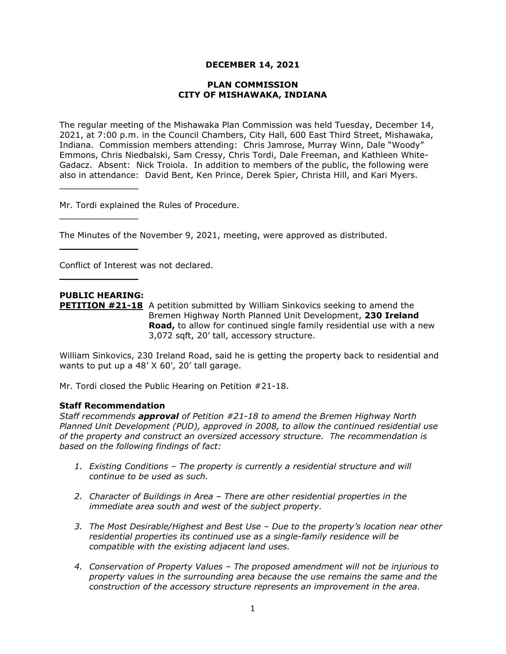## **DECEMBER 14, 2021**

## **PLAN COMMISSION CITY OF MISHAWAKA, INDIANA**

The regular meeting of the Mishawaka Plan Commission was held Tuesday, December 14, 2021, at 7:00 p.m. in the Council Chambers, City Hall, 600 East Third Street, Mishawaka, Indiana. Commission members attending: Chris Jamrose, Murray Winn, Dale "Woody" Emmons, Chris Niedbalski, Sam Cressy, Chris Tordi, Dale Freeman, and Kathleen White-Gadacz. Absent: Nick Troiola. In addition to members of the public, the following were also in attendance: David Bent, Ken Prince, Derek Spier, Christa Hill, and Kari Myers.

Mr. Tordi explained the Rules of Procedure.

The Minutes of the November 9, 2021, meeting, were approved as distributed.

Conflict of Interest was not declared.

## **PUBLIC HEARING:**

 $\overline{\phantom{a}}$  , where  $\overline{\phantom{a}}$  , where  $\overline{\phantom{a}}$ 

 $\overline{\phantom{a}}$  , where  $\overline{\phantom{a}}$  , where  $\overline{\phantom{a}}$ 

 $\overline{\phantom{a}}$  , where  $\overline{\phantom{a}}$ 

 $\overline{\phantom{a}}$  , where  $\overline{\phantom{a}}$  , where  $\overline{\phantom{a}}$ 

**PETITION #21-18** A petition submitted by William Sinkovics seeking to amend the Bremen Highway North Planned Unit Development, **230 Ireland Road,** to allow for continued single family residential use with a new 3,072 sqft, 20' tall, accessory structure.

William Sinkovics, 230 Ireland Road, said he is getting the property back to residential and wants to put up a 48' X 60', 20' tall garage.

Mr. Tordi closed the Public Hearing on Petition #21-18.

#### **Staff Recommendation**

*Staff recommends approval of Petition #21-18 to amend the Bremen Highway North Planned Unit Development (PUD), approved in 2008, to allow the continued residential use of the property and construct an oversized accessory structure. The recommendation is based on the following findings of fact:*

- *1. Existing Conditions – The property is currently a residential structure and will continue to be used as such.*
- *2. Character of Buildings in Area – There are other residential properties in the immediate area south and west of the subject property.*
- *3. The Most Desirable/Highest and Best Use – Due to the property's location near other residential properties its continued use as a single-family residence will be compatible with the existing adjacent land uses.*
- *4. Conservation of Property Values – The proposed amendment will not be injurious to property values in the surrounding area because the use remains the same and the construction of the accessory structure represents an improvement in the area.*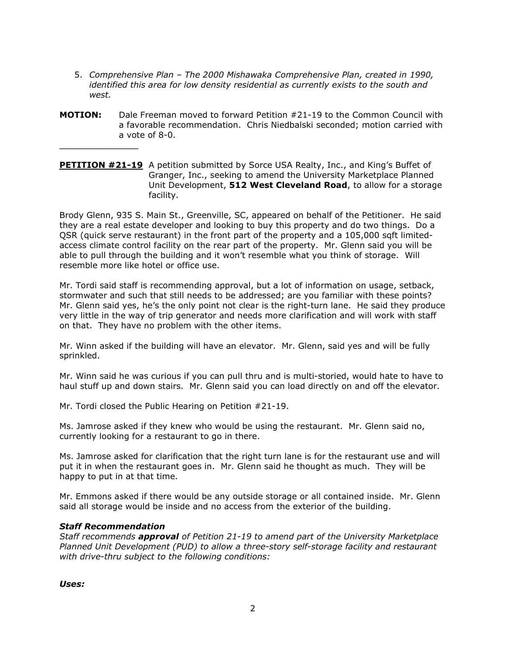- 5. *Comprehensive Plan – The 2000 Mishawaka Comprehensive Plan, created in 1990, identified this area for low density residential as currently exists to the south and west.*
- **MOTION:** Dale Freeman moved to forward Petition #21-19 to the Common Council with a favorable recommendation. Chris Niedbalski seconded; motion carried with a vote of 8-0.

**PETITION #21-19** A petition submitted by Sorce USA Realty, Inc., and King's Buffet of Granger, Inc., seeking to amend the University Marketplace Planned Unit Development, **512 West Cleveland Road**, to allow for a storage facility.

Brody Glenn, 935 S. Main St., Greenville, SC, appeared on behalf of the Petitioner. He said they are a real estate developer and looking to buy this property and do two things. Do a QSR (quick serve restaurant) in the front part of the property and a 105,000 sqft limitedaccess climate control facility on the rear part of the property. Mr. Glenn said you will be able to pull through the building and it won't resemble what you think of storage. Will resemble more like hotel or office use.

Mr. Tordi said staff is recommending approval, but a lot of information on usage, setback, stormwater and such that still needs to be addressed; are you familiar with these points? Mr. Glenn said yes, he's the only point not clear is the right-turn lane. He said they produce very little in the way of trip generator and needs more clarification and will work with staff on that. They have no problem with the other items.

Mr. Winn asked if the building will have an elevator. Mr. Glenn, said yes and will be fully sprinkled.

Mr. Winn said he was curious if you can pull thru and is multi-storied, would hate to have to haul stuff up and down stairs. Mr. Glenn said you can load directly on and off the elevator.

Mr. Tordi closed the Public Hearing on Petition #21-19.

Ms. Jamrose asked if they knew who would be using the restaurant. Mr. Glenn said no, currently looking for a restaurant to go in there.

Ms. Jamrose asked for clarification that the right turn lane is for the restaurant use and will put it in when the restaurant goes in. Mr. Glenn said he thought as much. They will be happy to put in at that time.

Mr. Emmons asked if there would be any outside storage or all contained inside. Mr. Glenn said all storage would be inside and no access from the exterior of the building.

## *Staff Recommendation*

 $\overline{\phantom{a}}$  , where  $\overline{\phantom{a}}$ 

*Staff recommends approval of Petition 21-19 to amend part of the University Marketplace Planned Unit Development (PUD) to allow a three-story self-storage facility and restaurant with drive-thru subject to the following conditions:*

#### *Uses:*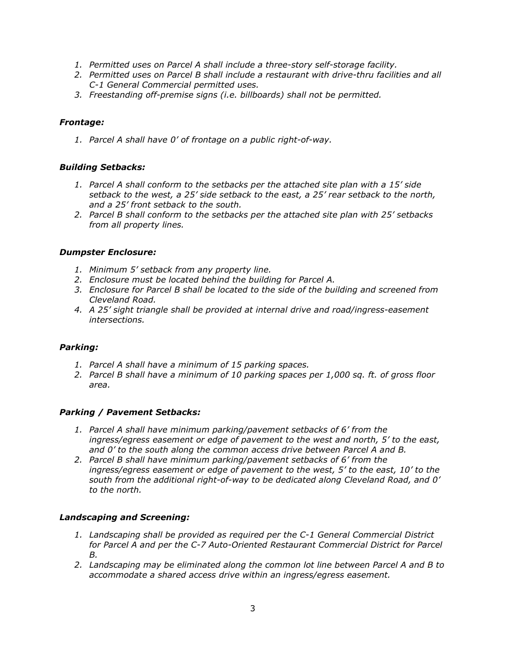- *1. Permitted uses on Parcel A shall include a three-story self-storage facility.*
- *2. Permitted uses on Parcel B shall include a restaurant with drive-thru facilities and all C-1 General Commercial permitted uses.*
- *3. Freestanding off-premise signs (i.e. billboards) shall not be permitted.*

# *Frontage:*

*1. Parcel A shall have 0' of frontage on a public right-of-way.* 

# *Building Setbacks:*

- *1. Parcel A shall conform to the setbacks per the attached site plan with a 15' side setback to the west, a 25' side setback to the east, a 25' rear setback to the north, and a 25' front setback to the south.*
- *2. Parcel B shall conform to the setbacks per the attached site plan with 25' setbacks from all property lines.*

# *Dumpster Enclosure:*

- *1. Minimum 5' setback from any property line.*
- *2. Enclosure must be located behind the building for Parcel A.*
- *3. Enclosure for Parcel B shall be located to the side of the building and screened from Cleveland Road.*
- *4. A 25' sight triangle shall be provided at internal drive and road/ingress-easement intersections.*

## *Parking:*

- *1. Parcel A shall have a minimum of 15 parking spaces.*
- *2. Parcel B shall have a minimum of 10 parking spaces per 1,000 sq. ft. of gross floor area.*

## *Parking / Pavement Setbacks:*

- *1. Parcel A shall have minimum parking/pavement setbacks of 6' from the ingress/egress easement or edge of pavement to the west and north, 5' to the east, and 0' to the south along the common access drive between Parcel A and B.*
- *2. Parcel B shall have minimum parking/pavement setbacks of 6' from the ingress/egress easement or edge of pavement to the west, 5' to the east, 10' to the south from the additional right-of-way to be dedicated along Cleveland Road, and 0' to the north.*

## *Landscaping and Screening:*

- *1. Landscaping shall be provided as required per the C-1 General Commercial District for Parcel A and per the C-7 Auto-Oriented Restaurant Commercial District for Parcel B.*
- *2. Landscaping may be eliminated along the common lot line between Parcel A and B to accommodate a shared access drive within an ingress/egress easement.*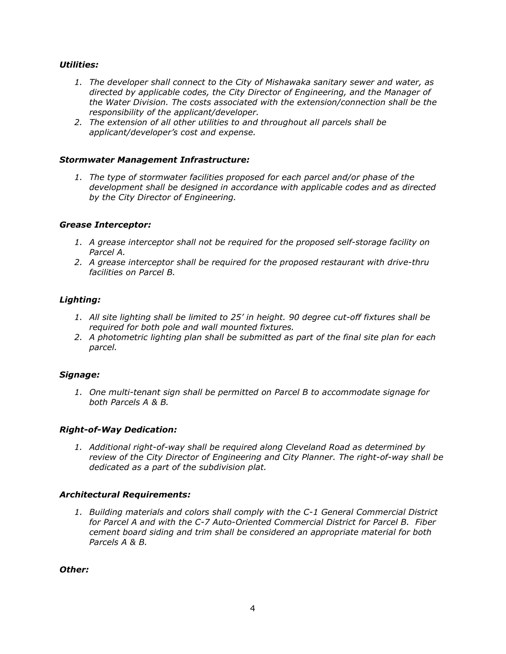# *Utilities:*

- *1. The developer shall connect to the City of Mishawaka sanitary sewer and water, as directed by applicable codes, the City Director of Engineering, and the Manager of the Water Division. The costs associated with the extension/connection shall be the responsibility of the applicant/developer.*
- *2. The extension of all other utilities to and throughout all parcels shall be applicant/developer's cost and expense.*

## *Stormwater Management Infrastructure:*

*1. The type of stormwater facilities proposed for each parcel and/or phase of the development shall be designed in accordance with applicable codes and as directed by the City Director of Engineering.* 

## *Grease Interceptor:*

- *1. A grease interceptor shall not be required for the proposed self-storage facility on Parcel A.*
- *2. A grease interceptor shall be required for the proposed restaurant with drive-thru facilities on Parcel B.*

## *Lighting:*

- *1. All site lighting shall be limited to 25' in height. 90 degree cut-off fixtures shall be required for both pole and wall mounted fixtures.*
- *2. A photometric lighting plan shall be submitted as part of the final site plan for each parcel.*

#### *Signage:*

*1. One multi-tenant sign shall be permitted on Parcel B to accommodate signage for both Parcels A & B.*

#### *Right-of-Way Dedication:*

*1. Additional right-of-way shall be required along Cleveland Road as determined by review of the City Director of Engineering and City Planner. The right-of-way shall be dedicated as a part of the subdivision plat.* 

#### *Architectural Requirements:*

*1. Building materials and colors shall comply with the C-1 General Commercial District for Parcel A and with the C-7 Auto-Oriented Commercial District for Parcel B. Fiber cement board siding and trim shall be considered an appropriate material for both Parcels A & B.* 

*Other:*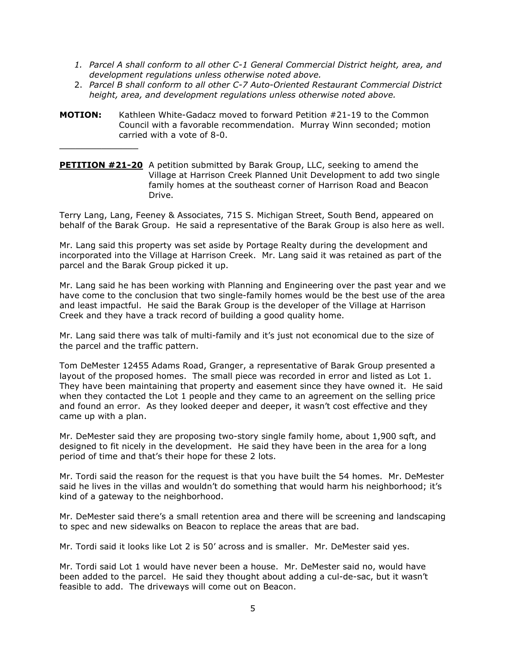- *1. Parcel A shall conform to all other C-1 General Commercial District height, area, and development regulations unless otherwise noted above.*
- 2. *Parcel B shall conform to all other C-7 Auto-Oriented Restaurant Commercial District height, area, and development regulations unless otherwise noted above.*
- **MOTION:** Kathleen White-Gadacz moved to forward Petition #21-19 to the Common Council with a favorable recommendation. Murray Winn seconded; motion carried with a vote of 8-0.

 $\overline{\phantom{a}}$  , where  $\overline{\phantom{a}}$ 

**PETITION #21-20** A petition submitted by Barak Group, LLC, seeking to amend the Village at Harrison Creek Planned Unit Development to add two single family homes at the southeast corner of Harrison Road and Beacon Drive.

Terry Lang, Lang, Feeney & Associates, 715 S. Michigan Street, South Bend, appeared on behalf of the Barak Group. He said a representative of the Barak Group is also here as well.

Mr. Lang said this property was set aside by Portage Realty during the development and incorporated into the Village at Harrison Creek. Mr. Lang said it was retained as part of the parcel and the Barak Group picked it up.

Mr. Lang said he has been working with Planning and Engineering over the past year and we have come to the conclusion that two single-family homes would be the best use of the area and least impactful. He said the Barak Group is the developer of the Village at Harrison Creek and they have a track record of building a good quality home.

Mr. Lang said there was talk of multi-family and it's just not economical due to the size of the parcel and the traffic pattern.

Tom DeMester 12455 Adams Road, Granger, a representative of Barak Group presented a layout of the proposed homes. The small piece was recorded in error and listed as Lot 1. They have been maintaining that property and easement since they have owned it. He said when they contacted the Lot 1 people and they came to an agreement on the selling price and found an error. As they looked deeper and deeper, it wasn't cost effective and they came up with a plan.

Mr. DeMester said they are proposing two-story single family home, about 1,900 sqft, and designed to fit nicely in the development. He said they have been in the area for a long period of time and that's their hope for these 2 lots.

Mr. Tordi said the reason for the request is that you have built the 54 homes. Mr. DeMester said he lives in the villas and wouldn't do something that would harm his neighborhood; it's kind of a gateway to the neighborhood.

Mr. DeMester said there's a small retention area and there will be screening and landscaping to spec and new sidewalks on Beacon to replace the areas that are bad.

Mr. Tordi said it looks like Lot 2 is 50' across and is smaller. Mr. DeMester said yes.

Mr. Tordi said Lot 1 would have never been a house. Mr. DeMester said no, would have been added to the parcel. He said they thought about adding a cul-de-sac, but it wasn't feasible to add. The driveways will come out on Beacon.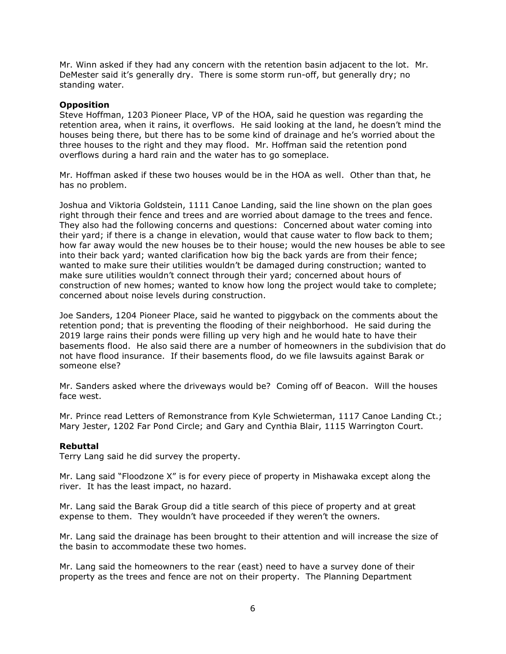Mr. Winn asked if they had any concern with the retention basin adjacent to the lot. Mr. DeMester said it's generally dry. There is some storm run-off, but generally dry; no standing water.

# **Opposition**

Steve Hoffman, 1203 Pioneer Place, VP of the HOA, said he question was regarding the retention area, when it rains, it overflows. He said looking at the land, he doesn't mind the houses being there, but there has to be some kind of drainage and he's worried about the three houses to the right and they may flood. Mr. Hoffman said the retention pond overflows during a hard rain and the water has to go someplace.

Mr. Hoffman asked if these two houses would be in the HOA as well. Other than that, he has no problem.

Joshua and Viktoria Goldstein, 1111 Canoe Landing, said the line shown on the plan goes right through their fence and trees and are worried about damage to the trees and fence. They also had the following concerns and questions: Concerned about water coming into their yard; if there is a change in elevation, would that cause water to flow back to them; how far away would the new houses be to their house; would the new houses be able to see into their back yard; wanted clarification how big the back yards are from their fence; wanted to make sure their utilities wouldn't be damaged during construction; wanted to make sure utilities wouldn't connect through their yard; concerned about hours of construction of new homes; wanted to know how long the project would take to complete; concerned about noise levels during construction.

Joe Sanders, 1204 Pioneer Place, said he wanted to piggyback on the comments about the retention pond; that is preventing the flooding of their neighborhood. He said during the 2019 large rains their ponds were filling up very high and he would hate to have their basements flood. He also said there are a number of homeowners in the subdivision that do not have flood insurance. If their basements flood, do we file lawsuits against Barak or someone else?

Mr. Sanders asked where the driveways would be? Coming off of Beacon. Will the houses face west.

Mr. Prince read Letters of Remonstrance from Kyle Schwieterman, 1117 Canoe Landing Ct.; Mary Jester, 1202 Far Pond Circle; and Gary and Cynthia Blair, 1115 Warrington Court.

## **Rebuttal**

Terry Lang said he did survey the property.

Mr. Lang said "Floodzone X" is for every piece of property in Mishawaka except along the river. It has the least impact, no hazard.

Mr. Lang said the Barak Group did a title search of this piece of property and at great expense to them. They wouldn't have proceeded if they weren't the owners.

Mr. Lang said the drainage has been brought to their attention and will increase the size of the basin to accommodate these two homes.

Mr. Lang said the homeowners to the rear (east) need to have a survey done of their property as the trees and fence are not on their property. The Planning Department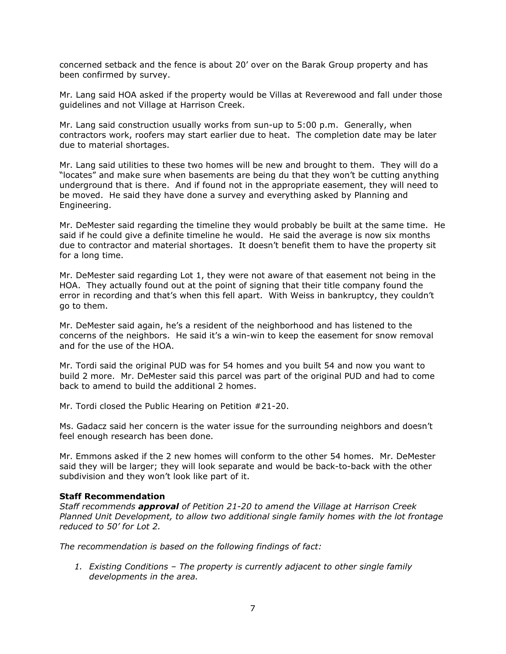concerned setback and the fence is about 20' over on the Barak Group property and has been confirmed by survey.

Mr. Lang said HOA asked if the property would be Villas at Reverewood and fall under those guidelines and not Village at Harrison Creek.

Mr. Lang said construction usually works from sun-up to 5:00 p.m. Generally, when contractors work, roofers may start earlier due to heat. The completion date may be later due to material shortages.

Mr. Lang said utilities to these two homes will be new and brought to them. They will do a "locates" and make sure when basements are being du that they won't be cutting anything underground that is there. And if found not in the appropriate easement, they will need to be moved. He said they have done a survey and everything asked by Planning and Engineering.

Mr. DeMester said regarding the timeline they would probably be built at the same time. He said if he could give a definite timeline he would. He said the average is now six months due to contractor and material shortages. It doesn't benefit them to have the property sit for a long time.

Mr. DeMester said regarding Lot 1, they were not aware of that easement not being in the HOA. They actually found out at the point of signing that their title company found the error in recording and that's when this fell apart. With Weiss in bankruptcy, they couldn't go to them.

Mr. DeMester said again, he's a resident of the neighborhood and has listened to the concerns of the neighbors. He said it's a win-win to keep the easement for snow removal and for the use of the HOA.

Mr. Tordi said the original PUD was for 54 homes and you built 54 and now you want to build 2 more. Mr. DeMester said this parcel was part of the original PUD and had to come back to amend to build the additional 2 homes.

Mr. Tordi closed the Public Hearing on Petition #21-20.

Ms. Gadacz said her concern is the water issue for the surrounding neighbors and doesn't feel enough research has been done.

Mr. Emmons asked if the 2 new homes will conform to the other 54 homes. Mr. DeMester said they will be larger; they will look separate and would be back-to-back with the other subdivision and they won't look like part of it.

#### **Staff Recommendation**

*Staff recommends approval of Petition 21-20 to amend the Village at Harrison Creek Planned Unit Development, to allow two additional single family homes with the lot frontage reduced to 50' for Lot 2.*

*The recommendation is based on the following findings of fact:*

*1. Existing Conditions – The property is currently adjacent to other single family developments in the area.*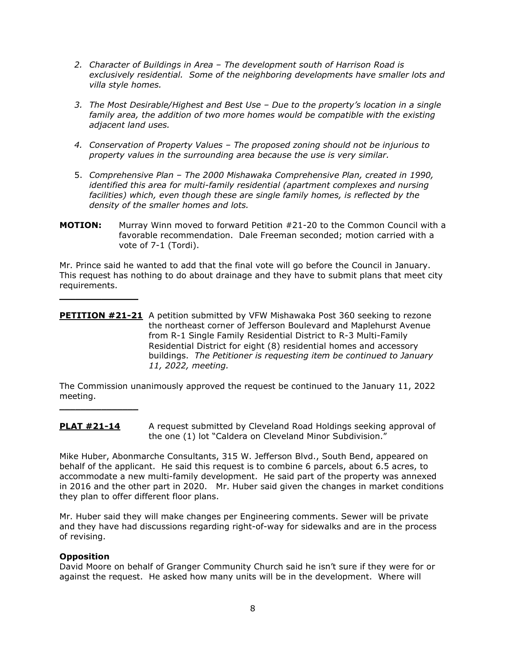- *2. Character of Buildings in Area – The development south of Harrison Road is exclusively residential. Some of the neighboring developments have smaller lots and villa style homes.*
- *3. The Most Desirable/Highest and Best Use – Due to the property's location in a single family area, the addition of two more homes would be compatible with the existing adjacent land uses.*
- *4. Conservation of Property Values – The proposed zoning should not be injurious to property values in the surrounding area because the use is very similar.*
- 5. *Comprehensive Plan – The 2000 Mishawaka Comprehensive Plan, created in 1990, identified this area for multi-family residential (apartment complexes and nursing facilities) which, even though these are single family homes, is reflected by the density of the smaller homes and lots.*
- **MOTION:** Murray Winn moved to forward Petition #21-20 to the Common Council with a favorable recommendation. Dale Freeman seconded; motion carried with a vote of 7-1 (Tordi).

Mr. Prince said he wanted to add that the final vote will go before the Council in January. This request has nothing to do about drainage and they have to submit plans that meet city requirements.

**PETITION #21-21** A petition submitted by VFW Mishawaka Post 360 seeking to rezone the northeast corner of Jefferson Boulevard and Maplehurst Avenue from R-1 Single Family Residential District to R-3 Multi-Family Residential District for eight (8) residential homes and accessory buildings. *The Petitioner is requesting item be continued to January 11, 2022, meeting.*

The Commission unanimously approved the request be continued to the January 11, 2022 meeting.

## **PLAT #21-14** A request submitted by Cleveland Road Holdings seeking approval of the one (1) lot "Caldera on Cleveland Minor Subdivision."

Mike Huber, Abonmarche Consultants, 315 W. Jefferson Blvd., South Bend, appeared on behalf of the applicant. He said this request is to combine 6 parcels, about 6.5 acres, to accommodate a new multi-family development. He said part of the property was annexed in 2016 and the other part in 2020. Mr. Huber said given the changes in market conditions they plan to offer different floor plans.

Mr. Huber said they will make changes per Engineering comments. Sewer will be private and they have had discussions regarding right-of-way for sidewalks and are in the process of revising.

## **Opposition**

 $\overline{\phantom{a}}$  , where  $\overline{\phantom{a}}$ 

 $\overline{\phantom{a}}$  , where  $\overline{\phantom{a}}$  , where  $\overline{\phantom{a}}$ 

David Moore on behalf of Granger Community Church said he isn't sure if they were for or against the request. He asked how many units will be in the development. Where will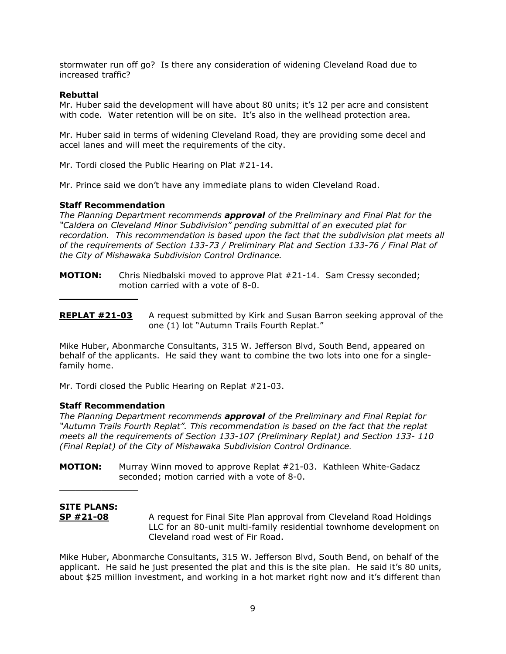stormwater run off go? Is there any consideration of widening Cleveland Road due to increased traffic?

## **Rebuttal**

Mr. Huber said the development will have about 80 units; it's 12 per acre and consistent with code. Water retention will be on site. It's also in the wellhead protection area.

Mr. Huber said in terms of widening Cleveland Road, they are providing some decel and accel lanes and will meet the requirements of the city.

Mr. Tordi closed the Public Hearing on Plat #21-14.

Mr. Prince said we don't have any immediate plans to widen Cleveland Road.

#### **Staff Recommendation**

 $\overline{\phantom{a}}$  , where  $\overline{\phantom{a}}$ 

*The Planning Department recommends approval of the Preliminary and Final Plat for the "Caldera on Cleveland Minor Subdivision" pending submittal of an executed plat for recordation. This recommendation is based upon the fact that the subdivision plat meets all of the requirements of Section 133-73 / Preliminary Plat and Section 133-76 / Final Plat of the City of Mishawaka Subdivision Control Ordinance.*

**MOTION:** Chris Niedbalski moved to approve Plat #21-14. Sam Cressy seconded; motion carried with a vote of 8-0.

**REPLAT #21-03** A request submitted by Kirk and Susan Barron seeking approval of the one (1) lot "Autumn Trails Fourth Replat."

Mike Huber, Abonmarche Consultants, 315 W. Jefferson Blvd, South Bend, appeared on behalf of the applicants. He said they want to combine the two lots into one for a singlefamily home.

Mr. Tordi closed the Public Hearing on Replat #21-03.

#### **Staff Recommendation**

*The Planning Department recommends approval of the Preliminary and Final Replat for "Autumn Trails Fourth Replat". This recommendation is based on the fact that the replat meets all the requirements of Section 133-107 (Preliminary Replat) and Section 133- 110 (Final Replat) of the City of Mishawaka Subdivision Control Ordinance*.

**MOTION:** Murray Winn moved to approve Replat #21-03. Kathleen White-Gadacz seconded; motion carried with a vote of 8-0.

# **SITE PLANS:**

 $\overline{\phantom{a}}$  , where  $\overline{\phantom{a}}$  , where  $\overline{\phantom{a}}$ 

**SP #21-08** A request for Final Site Plan approval from Cleveland Road Holdings LLC for an 80-unit multi-family residential townhome development on Cleveland road west of Fir Road.

Mike Huber, Abonmarche Consultants, 315 W. Jefferson Blvd, South Bend, on behalf of the applicant. He said he just presented the plat and this is the site plan. He said it's 80 units, about \$25 million investment, and working in a hot market right now and it's different than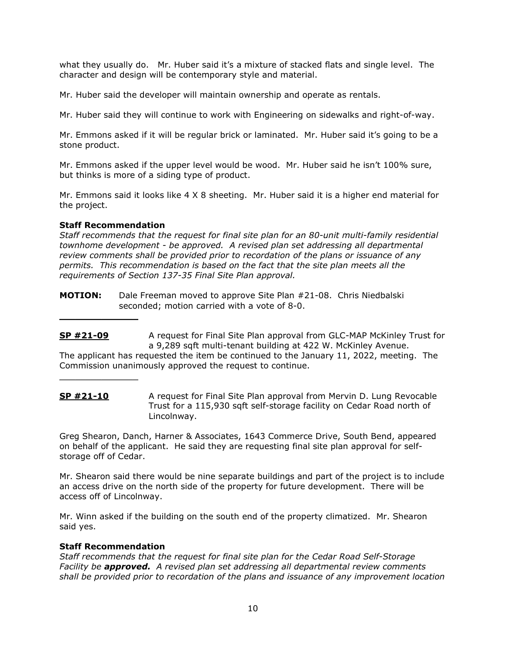what they usually do. Mr. Huber said it's a mixture of stacked flats and single level. The character and design will be contemporary style and material.

Mr. Huber said the developer will maintain ownership and operate as rentals.

Mr. Huber said they will continue to work with Engineering on sidewalks and right-of-way.

Mr. Emmons asked if it will be regular brick or laminated. Mr. Huber said it's going to be a stone product.

Mr. Emmons asked if the upper level would be wood. Mr. Huber said he isn't 100% sure, but thinks is more of a siding type of product.

Mr. Emmons said it looks like 4 X 8 sheeting. Mr. Huber said it is a higher end material for the project.

# **Staff Recommendation**

 $\overline{\phantom{a}}$  , where  $\overline{\phantom{a}}$ 

 $\overline{\phantom{a}}$  , where  $\overline{\phantom{a}}$  , where  $\overline{\phantom{a}}$ 

*Staff recommends that the request for final site plan for an 80-unit multi-family residential townhome development - be approved. A revised plan set addressing all departmental review comments shall be provided prior to recordation of the plans or issuance of any permits. This recommendation is based on the fact that the site plan meets all the requirements of Section 137-35 Final Site Plan approval.*

- **MOTION:** Dale Freeman moved to approve Site Plan #21-08. Chris Niedbalski seconded; motion carried with a vote of 8-0.
- **SP #21-09** A request for Final Site Plan approval from GLC-MAP McKinley Trust for a 9,289 sqft multi-tenant building at 422 W. McKinley Avenue.

The applicant has requested the item be continued to the January 11, 2022, meeting. The Commission unanimously approved the request to continue.

**SP #21-10** A request for Final Site Plan approval from Mervin D. Lung Revocable Trust for a 115,930 sqft self-storage facility on Cedar Road north of Lincolnway.

Greg Shearon, Danch, Harner & Associates, 1643 Commerce Drive, South Bend, appeared on behalf of the applicant. He said they are requesting final site plan approval for selfstorage off of Cedar.

Mr. Shearon said there would be nine separate buildings and part of the project is to include an access drive on the north side of the property for future development. There will be access off of Lincolnway.

Mr. Winn asked if the building on the south end of the property climatized. Mr. Shearon said yes.

## **Staff Recommendation**

*Staff recommends that the request for final site plan for the Cedar Road Self-Storage Facility be approved. A revised plan set addressing all departmental review comments shall be provided prior to recordation of the plans and issuance of any improvement location*